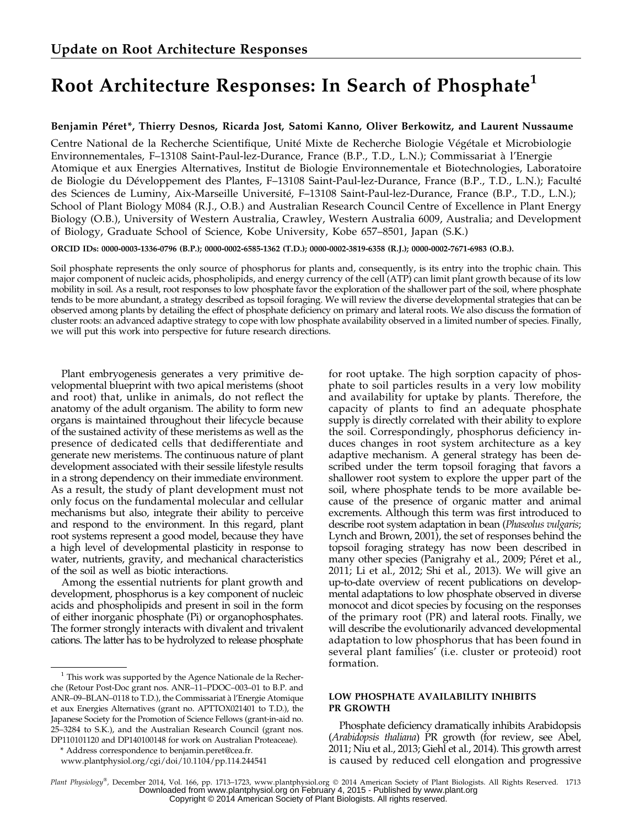# Root Architecture Responses: In Search of Phosphate<sup>1</sup>

#### Benjamin Péret\*, Thierry Desnos, Ricarda Jost, Satomi Kanno, Oliver Berkowitz, and Laurent Nussaume

Centre National de la Recherche Scientifique, Unité Mixte de Recherche Biologie Végétale et Microbiologie Environnementales, F–13108 Saint-Paul-lez-Durance, France (B.P., T.D., L.N.); Commissariat à l'Energie Atomique et aux Energies Alternatives, Institut de Biologie Environnementale et Biotechnologies, Laboratoire de Biologie du Développement des Plantes, F–13108 Saint-Paul-lez-Durance, France (B.P., T.D., L.N.); Faculté des Sciences de Luminy, Aix-Marseille Université, F–13108 Saint-Paul-lez-Durance, France (B.P., T.D., L.N.); School of Plant Biology M084 (R.J., O.B.) and Australian Research Council Centre of Excellence in Plant Energy Biology (O.B.), University of Western Australia, Crawley, Western Australia 6009, Australia; and Development of Biology, Graduate School of Science, Kobe University, Kobe 657–8501, Japan (S.K.)

ORCID IDs: [0000-0003-1336-0796](http://orcid.org/0000-0003-1336-0796) (B.P.); [0000-0002-6585-1362](http://orcid.org/0000-0002-6585-1362) (T.D.); [0000-0002-3819-6358](http://orcid.org/0000-0002-3819-6358) (R.J.); [0000-0002-7671-6983](http://orcid.org/0000-0002-7671-6983) (O.B.).

Soil phosphate represents the only source of phosphorus for plants and, consequently, is its entry into the trophic chain. This major component of nucleic acids, phospholipids, and energy currency of the cell (ATP) can limit plant growth because of its low mobility in soil. As a result, root responses to low phosphate favor the exploration of the shallower part of the soil, where phosphate tends to be more abundant, a strategy described as topsoil foraging. We will review the diverse developmental strategies that can be observed among plants by detailing the effect of phosphate deficiency on primary and lateral roots. We also discuss the formation of cluster roots: an advanced adaptive strategy to cope with low phosphate availability observed in a limited number of species. Finally, we will put this work into perspective for future research directions.

Plant embryogenesis generates a very primitive developmental blueprint with two apical meristems (shoot and root) that, unlike in animals, do not reflect the anatomy of the adult organism. The ability to form new organs is maintained throughout their lifecycle because of the sustained activity of these meristems as well as the presence of dedicated cells that dedifferentiate and generate new meristems. The continuous nature of plant development associated with their sessile lifestyle results in a strong dependency on their immediate environment. As a result, the study of plant development must not only focus on the fundamental molecular and cellular mechanisms but also, integrate their ability to perceive and respond to the environment. In this regard, plant root systems represent a good model, because they have a high level of developmental plasticity in response to water, nutrients, gravity, and mechanical characteristics of the soil as well as biotic interactions.

Among the essential nutrients for plant growth and development, phosphorus is a key component of nucleic acids and phospholipids and present in soil in the form of either inorganic phosphate (Pi) or organophosphates. The former strongly interacts with divalent and trivalent cations. The latter has to be hydrolyzed to release phosphate

for root uptake. The high sorption capacity of phosphate to soil particles results in a very low mobility and availability for uptake by plants. Therefore, the capacity of plants to find an adequate phosphate supply is directly correlated with their ability to explore the soil. Correspondingly, phosphorus deficiency induces changes in root system architecture as a key adaptive mechanism. A general strategy has been described under the term topsoil foraging that favors a shallower root system to explore the upper part of the soil, where phosphate tends to be more available because of the presence of organic matter and animal excrements. Although this term was first introduced to describe root system adaptation in bean (Phaseolus vulgaris; Lynch and Brown, 2001), the set of responses behind the topsoil foraging strategy has now been described in many other species (Panigrahy et al., 2009; Péret et al., 2011; Li et al., 2012; Shi et al., 2013). We will give an up-to-date overview of recent publications on developmental adaptations to low phosphate observed in diverse monocot and dicot species by focusing on the responses of the primary root (PR) and lateral roots. Finally, we will describe the evolutionarily advanced developmental adaptation to low phosphorus that has been found in several plant families' (i.e. cluster or proteoid) root formation.

#### LOW PHOSPHATE AVAILABILITY INHIBITS PR GROWTH

Phosphate deficiency dramatically inhibits Arabidopsis (Arabidopsis thaliana) PR growth (for review, see Abel, 2011; Niu et al., 2013; Giehl et al., 2014). This growth arrest is caused by reduced cell elongation and progressive

Plant Physiology®, December 2014, Vol. 166, pp. 1713-1723, www.plantphysiol.org © 2014 American Society of Plant Biologists. All Rights Reserved. 1713 Downloaded from [www.plantphysiol.org](http://www.plantphysiol.org/) on February 4, 2015 - Published by [www.plant.org](http://www.plant.org) Copyright © 2014 American Society of Plant Biologists. All rights reserved.

 $1$  This work was supported by the Agence Nationale de la Recherche (Retour Post-Doc grant nos. ANR–11–PDOC–003–01 to B.P. and ANR–09–BLAN–0118 to T.D.), the Commissariat à l'Energie Atomique et aux Energies Alternatives (grant no. APTTOX021401 to T.D.), the Japanese Society for the Promotion of Science Fellows (grant-in-aid no. 25–3284 to S.K.), and the Australian Research Council (grant nos. DP110101120 and DP140100148 for work on Australian Proteaceae).

<sup>\*</sup> Address correspondence to [benjamin.peret@cea.fr](mailto:benjamin.peret@cea.fr).

[www.plantphysiol.org/cgi/doi/10.1104/pp.114.244541](http://www.plantphysiol.org/cgi/doi/10.1104/pp.114.244541)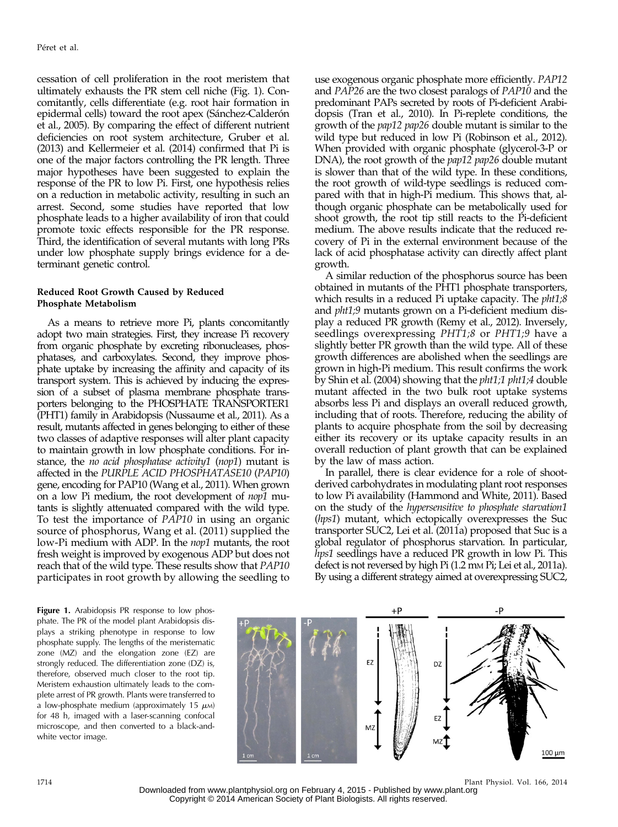cessation of cell proliferation in the root meristem that ultimately exhausts the PR stem cell niche (Fig. 1). Concomitantly, cells differentiate (e.g. root hair formation in epidermal cells) toward the root apex (Sánchez-Calderón et al., 2005). By comparing the effect of different nutrient deficiencies on root system architecture, Gruber et al. (2013) and Kellermeier et al. (2014) confirmed that Pi is one of the major factors controlling the PR length. Three major hypotheses have been suggested to explain the response of the PR to low Pi. First, one hypothesis relies on a reduction in metabolic activity, resulting in such an arrest. Second, some studies have reported that low phosphate leads to a higher availability of iron that could promote toxic effects responsible for the PR response. Third, the identification of several mutants with long PRs under low phosphate supply brings evidence for a determinant genetic control.

#### Reduced Root Growth Caused by Reduced Phosphate Metabolism

As a means to retrieve more Pi, plants concomitantly adopt two main strategies. First, they increase Pi recovery from organic phosphate by excreting ribonucleases, phosphatases, and carboxylates. Second, they improve phosphate uptake by increasing the affinity and capacity of its transport system. This is achieved by inducing the expression of a subset of plasma membrane phosphate transporters belonging to the PHOSPHATE TRANSPORTER1 (PHT1) family in Arabidopsis (Nussaume et al., 2011). As a result, mutants affected in genes belonging to either of these two classes of adaptive responses will alter plant capacity to maintain growth in low phosphate conditions. For instance, the no acid phosphatase activity1 (nop1) mutant is affected in the PURPLE ACID PHOSPHATASE10 (PAP10) gene, encoding for PAP10 (Wang et al., 2011). When grown on a low Pi medium, the root development of nop1 mutants is slightly attenuated compared with the wild type. To test the importance of PAP10 in using an organic source of phosphorus, Wang et al. (2011) supplied the low-Pi medium with ADP. In the *nop1* mutants, the root fresh weight is improved by exogenous ADP but does not reach that of the wild type. These results show that PAP10 participates in root growth by allowing the seedling to

Figure 1. Arabidopsis PR response to low phosphate. The PR of the model plant Arabidopsis displays a striking phenotype in response to low phosphate supply. The lengths of the meristematic zone (MZ) and the elongation zone (EZ) are strongly reduced. The differentiation zone (DZ) is, therefore, observed much closer to the root tip. Meristem exhaustion ultimately leads to the complete arrest of PR growth. Plants were transferred to a low-phosphate medium (approximately 15  $\mu$ M) for 48 h, imaged with a laser-scanning confocal microscope, and then converted to a black-andwhite vector image.

use exogenous organic phosphate more efficiently. PAP12 and PAP26 are the two closest paralogs of PAP10 and the predominant PAPs secreted by roots of Pi-deficient Arabidopsis (Tran et al., 2010). In Pi-replete conditions, the growth of the pap12 pap26 double mutant is similar to the wild type but reduced in low Pi (Robinson et al., 2012). When provided with organic phosphate (glycerol-3-P or DNA), the root growth of the pap12 pap26 double mutant is slower than that of the wild type. In these conditions, the root growth of wild-type seedlings is reduced compared with that in high-Pi medium. This shows that, although organic phosphate can be metabolically used for shoot growth, the root tip still reacts to the Pi-deficient medium. The above results indicate that the reduced recovery of Pi in the external environment because of the lack of acid phosphatase activity can directly affect plant growth.

A similar reduction of the phosphorus source has been obtained in mutants of the PHT1 phosphate transporters, which results in a reduced Pi uptake capacity. The *pht1;8* and pht1;9 mutants grown on a Pi-deficient medium display a reduced PR growth (Remy et al., 2012). Inversely, seedlings overexpressing PHT1;8 or PHT1;9 have a slightly better PR growth than the wild type. All of these growth differences are abolished when the seedlings are grown in high-Pi medium. This result confirms the work by Shin et al. (2004) showing that the pht1;1 pht1;4 double mutant affected in the two bulk root uptake systems absorbs less Pi and displays an overall reduced growth, including that of roots. Therefore, reducing the ability of plants to acquire phosphate from the soil by decreasing either its recovery or its uptake capacity results in an overall reduction of plant growth that can be explained by the law of mass action.

In parallel, there is clear evidence for a role of shootderived carbohydrates in modulating plant root responses to low Pi availability (Hammond and White, 2011). Based on the study of the hypersensitive to phosphate starvation1 (hps1) mutant, which ectopically overexpresses the Suc transporter SUC2, Lei et al. (2011a) proposed that Suc is a global regulator of phosphorus starvation. In particular, hps1 seedlings have a reduced PR growth in low Pi. This defect is not reversed by high Pi (1.2 mM Pi; Lei et al., 2011a). By using a different strategy aimed at overexpressing SUC2,



Downloaded from [www.plantphysiol.org](http://www.plantphysiol.org/) on February 4, 2015 - Published by [www.plant.org](http://www.plant.org) Copyright © 2014 American Society of Plant Biologists. All rights reserved.

1714 Plant Physiol. Vol. 166, 2014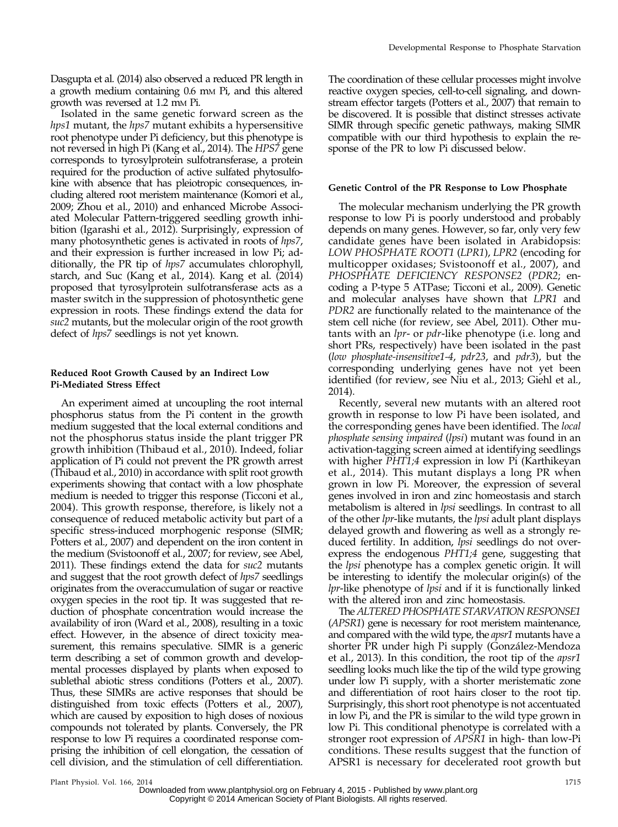Dasgupta et al. (2014) also observed a reduced PR length in a growth medium containing 0.6 mM Pi, and this altered growth was reversed at 1.2 mM Pi.

Isolated in the same genetic forward screen as the hps1 mutant, the hps7 mutant exhibits a hypersensitive root phenotype under Pi deficiency, but this phenotype is not reversed in high Pi (Kang et al., 2014). The HPS7 gene corresponds to tyrosylprotein sulfotransferase, a protein required for the production of active sulfated phytosulfokine with absence that has pleiotropic consequences, including altered root meristem maintenance (Komori et al., 2009; Zhou et al., 2010) and enhanced Microbe Associated Molecular Pattern-triggered seedling growth inhibition (Igarashi et al., 2012). Surprisingly, expression of many photosynthetic genes is activated in roots of hps7, and their expression is further increased in low Pi; additionally, the PR tip of hps7 accumulates chlorophyll, starch, and Suc (Kang et al., 2014). Kang et al. (2014) proposed that tyrosylprotein sulfotransferase acts as a master switch in the suppression of photosynthetic gene expression in roots. These findings extend the data for suc2 mutants, but the molecular origin of the root growth defect of hps7 seedlings is not yet known.

#### Reduced Root Growth Caused by an Indirect Low Pi-Mediated Stress Effect

An experiment aimed at uncoupling the root internal phosphorus status from the Pi content in the growth medium suggested that the local external conditions and not the phosphorus status inside the plant trigger PR growth inhibition (Thibaud et al., 2010). Indeed, foliar application of Pi could not prevent the PR growth arrest (Thibaud et al., 2010) in accordance with split root growth experiments showing that contact with a low phosphate medium is needed to trigger this response (Ticconi et al., 2004). This growth response, therefore, is likely not a consequence of reduced metabolic activity but part of a specific stress-induced morphogenic response (SIMR; Potters et al., 2007) and dependent on the iron content in the medium (Svistoonoff et al., 2007; for review, see Abel, 2011). These findings extend the data for suc2 mutants and suggest that the root growth defect of hps7 seedlings originates from the overaccumulation of sugar or reactive oxygen species in the root tip. It was suggested that reduction of phosphate concentration would increase the availability of iron (Ward et al., 2008), resulting in a toxic effect. However, in the absence of direct toxicity measurement, this remains speculative. SIMR is a generic term describing a set of common growth and developmental processes displayed by plants when exposed to sublethal abiotic stress conditions (Potters et al., 2007). Thus, these SIMRs are active responses that should be distinguished from toxic effects (Potters et al., 2007), which are caused by exposition to high doses of noxious compounds not tolerated by plants. Conversely, the PR response to low Pi requires a coordinated response comprising the inhibition of cell elongation, the cessation of cell division, and the stimulation of cell differentiation.

The coordination of these cellular processes might involve reactive oxygen species, cell-to-cell signaling, and downstream effector targets (Potters et al., 2007) that remain to be discovered. It is possible that distinct stresses activate SIMR through specific genetic pathways, making SIMR compatible with our third hypothesis to explain the response of the PR to low Pi discussed below.

#### Genetic Control of the PR Response to Low Phosphate

The molecular mechanism underlying the PR growth response to low Pi is poorly understood and probably depends on many genes. However, so far, only very few candidate genes have been isolated in Arabidopsis: LOW PHOSPHATE ROOT1 (LPR1), LPR2 (encoding for multicopper oxidases; Svistoonoff et al., 2007), and PHOSPHATE DEFICIENCY RESPONSE2 (PDR2; encoding a P-type 5 ATPase; Ticconi et al., 2009). Genetic and molecular analyses have shown that LPR1 and PDR2 are functionally related to the maintenance of the stem cell niche (for review, see Abel, 2011). Other mutants with an lpr- or pdr-like phenotype (i.e. long and short PRs, respectively) have been isolated in the past (low phosphate-insensitive1-4, pdr23, and pdr3), but the corresponding underlying genes have not yet been identified (for review, see Niu et al., 2013; Giehl et al., 2014).

Recently, several new mutants with an altered root growth in response to low Pi have been isolated, and the corresponding genes have been identified. The local phosphate sensing impaired (lpsi) mutant was found in an activation-tagging screen aimed at identifying seedlings with higher PHT1;4 expression in low Pi (Karthikeyan et al., 2014). This mutant displays a long PR when grown in low Pi. Moreover, the expression of several genes involved in iron and zinc homeostasis and starch metabolism is altered in lpsi seedlings. In contrast to all of the other lpr-like mutants, the lpsi adult plant displays delayed growth and flowering as well as a strongly reduced fertility. In addition, *lpsi* seedlings do not overexpress the endogenous PHT1;4 gene, suggesting that the lpsi phenotype has a complex genetic origin. It will be interesting to identify the molecular origin(s) of the lpr-like phenotype of lpsi and if it is functionally linked with the altered iron and zinc homeostasis.

The ALTERED PHOSPHATE STARVATION RESPONSE1 (APSR1) gene is necessary for root meristem maintenance, and compared with the wild type, the *apsr1* mutants have a shorter PR under high Pi supply (González-Mendoza et al., 2013). In this condition, the root tip of the apsr1 seedling looks much like the tip of the wild type growing under low Pi supply, with a shorter meristematic zone and differentiation of root hairs closer to the root tip. Surprisingly, this short root phenotype is not accentuated in low Pi, and the PR is similar to the wild type grown in low Pi. This conditional phenotype is correlated with a stronger root expression of APSR1 in high- than low-Pi conditions. These results suggest that the function of APSR1 is necessary for decelerated root growth but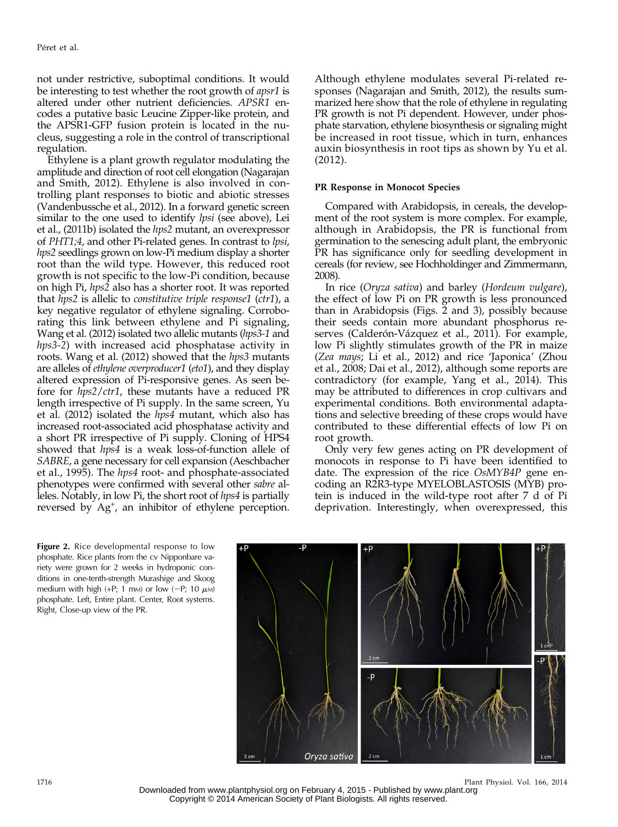not under restrictive, suboptimal conditions. It would be interesting to test whether the root growth of *apsr1* is altered under other nutrient deficiencies. APSR1 encodes a putative basic Leucine Zipper-like protein, and the APSR1-GFP fusion protein is located in the nucleus, suggesting a role in the control of transcriptional regulation.

Ethylene is a plant growth regulator modulating the amplitude and direction of root cell elongation (Nagarajan and Smith, 2012). Ethylene is also involved in controlling plant responses to biotic and abiotic stresses (Vandenbussche et al., 2012). In a forward genetic screen similar to the one used to identify lpsi (see above), Lei et al., (2011b) isolated the hps2 mutant, an overexpressor of PHT1;4, and other Pi-related genes. In contrast to lpsi, hps2 seedlings grown on low-Pi medium display a shorter root than the wild type. However, this reduced root growth is not specific to the low-Pi condition, because on high Pi, hps2 also has a shorter root. It was reported that hps2 is allelic to constitutive triple response1 (ctr1), a key negative regulator of ethylene signaling. Corroborating this link between ethylene and Pi signaling, Wang et al. (2012) isolated two allelic mutants (hps3-1 and hps3-2) with increased acid phosphatase activity in roots. Wang et al. (2012) showed that the *hps3* mutants are alleles of ethylene overproducer1 (eto1), and they display altered expression of Pi-responsive genes. As seen before for hps2/ctr1, these mutants have a reduced PR length irrespective of Pi supply. In the same screen, Yu et al. (2012) isolated the hps4 mutant, which also has increased root-associated acid phosphatase activity and a short PR irrespective of Pi supply. Cloning of HPS4 showed that hps4 is a weak loss-of-function allele of SABRE, a gene necessary for cell expansion (Aeschbacher et al., 1995). The *hps4* root- and phosphate-associated phenotypes were confirmed with several other sabre alleles. Notably, in low Pi, the short root of hps4 is partially reversed by Ag<sup>+</sup>, an inhibitor of ethylene perception.

Although ethylene modulates several Pi-related responses (Nagarajan and Smith, 2012), the results summarized here show that the role of ethylene in regulating PR growth is not Pi dependent. However, under phosphate starvation, ethylene biosynthesis or signaling might be increased in root tissue, which in turn, enhances auxin biosynthesis in root tips as shown by Yu et al. (2012).

#### PR Response in Monocot Species

Compared with Arabidopsis, in cereals, the development of the root system is more complex. For example, although in Arabidopsis, the PR is functional from germination to the senescing adult plant, the embryonic PR has significance only for seedling development in cereals (for review, see Hochholdinger and Zimmermann, 2008).

In rice (Oryza sativa) and barley (Hordeum vulgare), the effect of low Pi on PR growth is less pronounced than in Arabidopsis (Figs. 2 and 3), possibly because their seeds contain more abundant phosphorus reserves (Calderón-Vázquez et al., 2011). For example, low Pi slightly stimulates growth of the PR in maize (Zea mays; Li et al., 2012) and rice 'Japonica' (Zhou et al., 2008; Dai et al., 2012), although some reports are contradictory (for example, Yang et al., 2014). This may be attributed to differences in crop cultivars and experimental conditions. Both environmental adaptations and selective breeding of these crops would have contributed to these differential effects of low Pi on root growth.

Only very few genes acting on PR development of monocots in response to Pi have been identified to date. The expression of the rice OsMYB4P gene encoding an R2R3-type MYELOBLASTOSIS (MYB) protein is induced in the wild-type root after 7 d of Pi deprivation. Interestingly, when overexpressed, this

Figure 2. Rice developmental response to low phosphate. Rice plants from the cv Nipponbare variety were grown for 2 weeks in hydroponic conditions in one-tenth-strength Murashige and Skoog medium with high (+P; 1 mm) or low (-P; 10  $\mu$ m) phosphate. Left, Entire plant. Center, Root systems. Right, Close-up view of the PR.



1716 Plant Physiol. Vol. 166, 2014

Downloaded from [www.plantphysiol.org](http://www.plantphysiol.org/) on February 4, 2015 - Published by [www.plant.org](http://www.plant.org) Copyright © 2014 American Society of Plant Biologists. All rights reserved.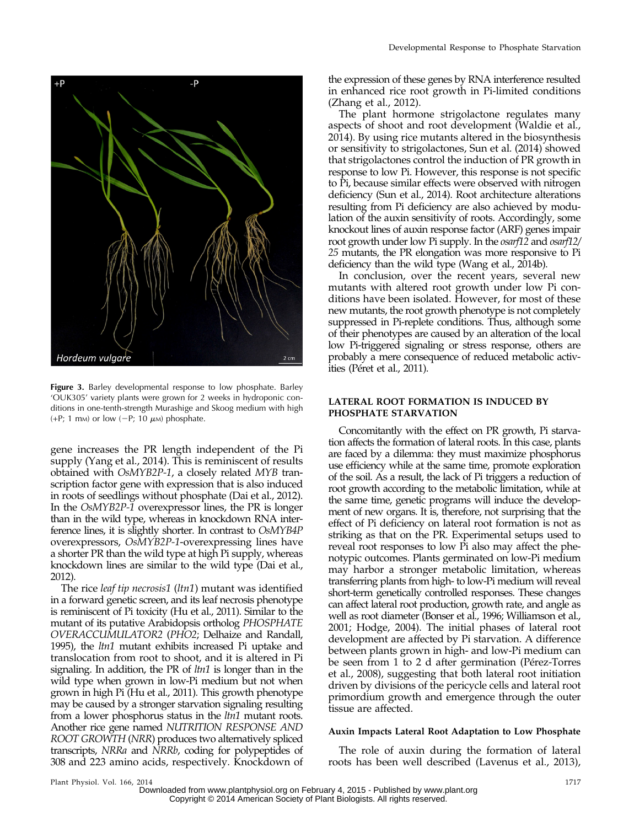

Figure 3. Barley developmental response to low phosphate. Barley 'OUK305' variety plants were grown for 2 weeks in hydroponic conditions in one-tenth-strength Murashige and Skoog medium with high (+P; 1 mm) or low (-P; 10  $\mu$ m) phosphate.

gene increases the PR length independent of the Pi supply (Yang et al., 2014). This is reminiscent of results obtained with OsMYB2P-1, a closely related MYB transcription factor gene with expression that is also induced in roots of seedlings without phosphate (Dai et al., 2012). In the OsMYB2P-1 overexpressor lines, the PR is longer than in the wild type, whereas in knockdown RNA interference lines, it is slightly shorter. In contrast to OsMYB4P overexpressors, OsMYB2P-1-overexpressing lines have a shorter PR than the wild type at high Pi supply, whereas knockdown lines are similar to the wild type (Dai et al., 2012).

The rice *leaf tip necrosis1* (*ltn1*) mutant was identified in a forward genetic screen, and its leaf necrosis phenotype is reminiscent of Pi toxicity (Hu et al., 2011). Similar to the mutant of its putative Arabidopsis ortholog PHOSPHATE OVERACCUMULATOR2 (PHO2; Delhaize and Randall, 1995), the ltn1 mutant exhibits increased Pi uptake and translocation from root to shoot, and it is altered in Pi signaling. In addition, the PR of *ltn1* is longer than in the wild type when grown in low-Pi medium but not when grown in high Pi (Hu et al., 2011). This growth phenotype may be caused by a stronger starvation signaling resulting from a lower phosphorus status in the *ltn1* mutant roots. Another rice gene named NUTRITION RESPONSE AND ROOT GROWTH (NRR) produces two alternatively spliced transcripts, NRRa and NRRb, coding for polypeptides of 308 and 223 amino acids, respectively. Knockdown of

the expression of these genes by RNA interference resulted in enhanced rice root growth in Pi-limited conditions (Zhang et al., 2012).

The plant hormone strigolactone regulates many aspects of shoot and root development (Waldie et al., 2014). By using rice mutants altered in the biosynthesis or sensitivity to strigolactones, Sun et al. (2014) showed that strigolactones control the induction of PR growth in response to low Pi. However, this response is not specific to Pi, because similar effects were observed with nitrogen deficiency (Sun et al., 2014). Root architecture alterations resulting from Pi deficiency are also achieved by modulation of the auxin sensitivity of roots. Accordingly, some knockout lines of auxin response factor (ARF) genes impair root growth under low Pi supply. In the osarf12 and osarf12/ 25 mutants, the PR elongation was more responsive to Pi deficiency than the wild type (Wang et al., 2014b).

In conclusion, over the recent years, several new mutants with altered root growth under low Pi conditions have been isolated. However, for most of these new mutants, the root growth phenotype is not completely suppressed in Pi-replete conditions. Thus, although some of their phenotypes are caused by an alteration of the local low Pi-triggered signaling or stress response, others are probably a mere consequence of reduced metabolic activities (Péret et al., 2011).

#### LATERAL ROOT FORMATION IS INDUCED BY PHOSPHATE STARVATION

Concomitantly with the effect on PR growth, Pi starvation affects the formation of lateral roots. In this case, plants are faced by a dilemma: they must maximize phosphorus use efficiency while at the same time, promote exploration of the soil. As a result, the lack of Pi triggers a reduction of root growth according to the metabolic limitation, while at the same time, genetic programs will induce the development of new organs. It is, therefore, not surprising that the effect of Pi deficiency on lateral root formation is not as striking as that on the PR. Experimental setups used to reveal root responses to low Pi also may affect the phenotypic outcomes. Plants germinated on low-Pi medium may harbor a stronger metabolic limitation, whereas transferring plants from high- to low-Pi medium will reveal short-term genetically controlled responses. These changes can affect lateral root production, growth rate, and angle as well as root diameter (Bonser et al., 1996; Williamson et al., 2001; Hodge, 2004). The initial phases of lateral root development are affected by Pi starvation. A difference between plants grown in high- and low-Pi medium can be seen from 1 to 2 d after germination (Pérez-Torres et al., 2008), suggesting that both lateral root initiation driven by divisions of the pericycle cells and lateral root primordium growth and emergence through the outer tissue are affected.

#### Auxin Impacts Lateral Root Adaptation to Low Phosphate

The role of auxin during the formation of lateral roots has been well described (Lavenus et al., 2013),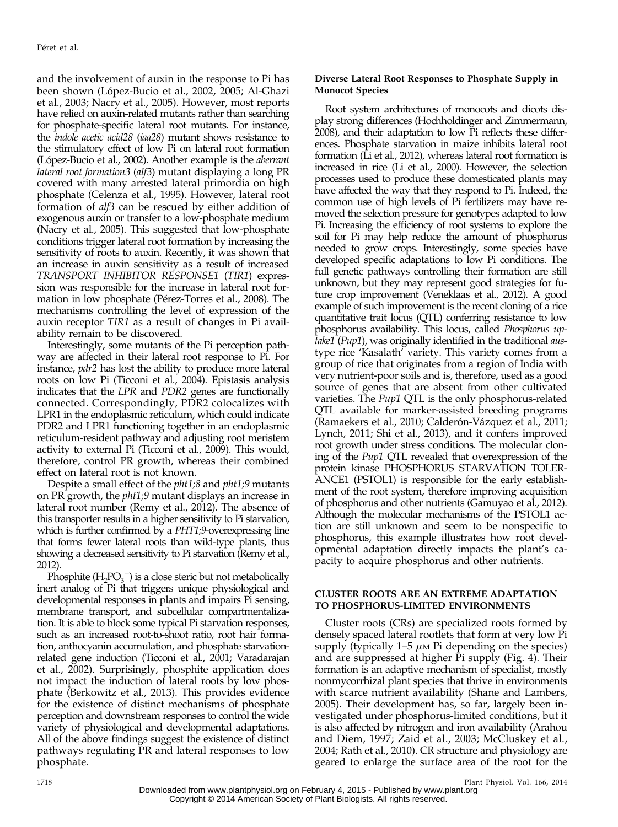and the involvement of auxin in the response to Pi has been shown (López-Bucio et al., 2002, 2005; Al-Ghazi et al., 2003; Nacry et al., 2005). However, most reports have relied on auxin-related mutants rather than searching for phosphate-specific lateral root mutants. For instance, the indole acetic acid28 (iaa28) mutant shows resistance to the stimulatory effect of low Pi on lateral root formation (López-Bucio et al., 2002). Another example is the aberrant lateral root formation3 (alf3) mutant displaying a long PR covered with many arrested lateral primordia on high phosphate (Celenza et al., 1995). However, lateral root formation of alf3 can be rescued by either addition of exogenous auxin or transfer to a low-phosphate medium (Nacry et al., 2005). This suggested that low-phosphate conditions trigger lateral root formation by increasing the sensitivity of roots to auxin. Recently, it was shown that an increase in auxin sensitivity as a result of increased TRANSPORT INHIBITOR RESPONSE1 (TIR1) expression was responsible for the increase in lateral root formation in low phosphate (Pérez-Torres et al., 2008). The mechanisms controlling the level of expression of the auxin receptor TIR1 as a result of changes in Pi availability remain to be discovered.

Interestingly, some mutants of the Pi perception pathway are affected in their lateral root response to Pi. For instance, *pdr2* has lost the ability to produce more lateral roots on low Pi (Ticconi et al., 2004). Epistasis analysis indicates that the LPR and PDR2 genes are functionally connected. Correspondingly, PDR2 colocalizes with LPR1 in the endoplasmic reticulum, which could indicate PDR2 and LPR1 functioning together in an endoplasmic reticulum-resident pathway and adjusting root meristem activity to external Pi (Ticconi et al., 2009). This would, therefore, control PR growth, whereas their combined effect on lateral root is not known.

Despite a small effect of the pht1;8 and pht1;9 mutants on PR growth, the *pht1*;9 mutant displays an increase in lateral root number (Remy et al., 2012). The absence of this transporter results in a higher sensitivity to Pi starvation, which is further confirmed by a PHT1;9-overexpressing line that forms fewer lateral roots than wild-type plants, thus showing a decreased sensitivity to Pi starvation (Remy et al., 2012).

Phosphite  $(H_2PO_3^-)$  is a close steric but not metabolically inert analog of Pi that triggers unique physiological and developmental responses in plants and impairs Pi sensing, membrane transport, and subcellular compartmentalization. It is able to block some typical Pi starvation responses, such as an increased root-to-shoot ratio, root hair formation, anthocyanin accumulation, and phosphate starvationrelated gene induction (Ticconi et al., 2001; Varadarajan et al., 2002). Surprisingly, phosphite application does not impact the induction of lateral roots by low phosphate (Berkowitz et al., 2013). This provides evidence for the existence of distinct mechanisms of phosphate perception and downstream responses to control the wide variety of physiological and developmental adaptations. All of the above findings suggest the existence of distinct pathways regulating PR and lateral responses to low phosphate.

## Diverse Lateral Root Responses to Phosphate Supply in Monocot Species

Root system architectures of monocots and dicots display strong differences (Hochholdinger and Zimmermann, 2008), and their adaptation to low Pi reflects these differences. Phosphate starvation in maize inhibits lateral root formation (Li et al., 2012), whereas lateral root formation is increased in rice (Li et al., 2000). However, the selection processes used to produce these domesticated plants may have affected the way that they respond to Pi. Indeed, the common use of high levels of Pi fertilizers may have removed the selection pressure for genotypes adapted to low Pi. Increasing the efficiency of root systems to explore the soil for Pi may help reduce the amount of phosphorus needed to grow crops. Interestingly, some species have developed specific adaptations to low Pi conditions. The full genetic pathways controlling their formation are still unknown, but they may represent good strategies for future crop improvement (Veneklaas et al., 2012). A good example of such improvement is the recent cloning of a rice quantitative trait locus (QTL) conferring resistance to low phosphorus availability. This locus, called Phosphorus uptake1 (Pup1), was originally identified in the traditional austype rice 'Kasalath' variety. This variety comes from a group of rice that originates from a region of India with very nutrient-poor soils and is, therefore, used as a good source of genes that are absent from other cultivated varieties. The Pup1 QTL is the only phosphorus-related QTL available for marker-assisted breeding programs (Ramaekers et al., 2010; Calderón-Vázquez et al., 2011; Lynch, 2011; Shi et al., 2013), and it confers improved root growth under stress conditions. The molecular cloning of the Pup1 QTL revealed that overexpression of the protein kinase PHOSPHORUS STARVATION TOLER-ANCE1 (PSTOL1) is responsible for the early establishment of the root system, therefore improving acquisition of phosphorus and other nutrients (Gamuyao et al., 2012). Although the molecular mechanisms of the PSTOL1 action are still unknown and seem to be nonspecific to phosphorus, this example illustrates how root developmental adaptation directly impacts the plant's capacity to acquire phosphorus and other nutrients.

### CLUSTER ROOTS ARE AN EXTREME ADAPTATION TO PHOSPHORUS-LIMITED ENVIRONMENTS

Cluster roots (CRs) are specialized roots formed by densely spaced lateral rootlets that form at very low Pi supply (typically  $1-5 \mu M$  Pi depending on the species) and are suppressed at higher Pi supply (Fig. 4). Their formation is an adaptive mechanism of specialist, mostly nonmycorrhizal plant species that thrive in environments with scarce nutrient availability (Shane and Lambers, 2005). Their development has, so far, largely been investigated under phosphorus-limited conditions, but it is also affected by nitrogen and iron availability (Arahou and Diem, 1997; Zaid et al., 2003; McCluskey et al., 2004; Rath et al., 2010). CR structure and physiology are geared to enlarge the surface area of the root for the

1718 Plant Physiol. Vol. 166, 2014 Downloaded from [www.plantphysiol.org](http://www.plantphysiol.org/) on February 4, 2015 - Published by [www.plant.org](http://www.plant.org) Copyright © 2014 American Society of Plant Biologists. All rights reserved.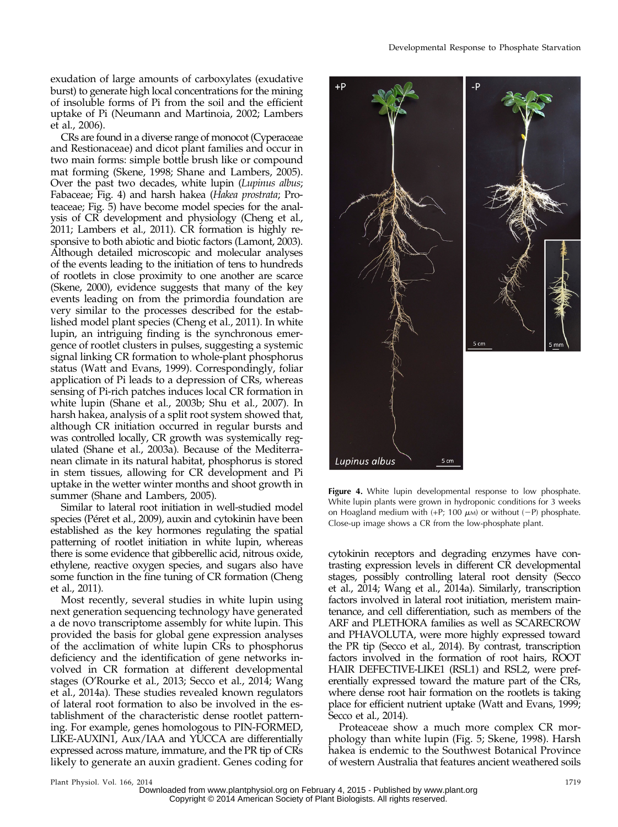exudation of large amounts of carboxylates (exudative burst) to generate high local concentrations for the mining of insoluble forms of Pi from the soil and the efficient uptake of Pi (Neumann and Martinoia, 2002; Lambers et al., 2006).

CRs are found in a diverse range of monocot (Cyperaceae and Restionaceae) and dicot plant families and occur in two main forms: simple bottle brush like or compound mat forming (Skene, 1998; Shane and Lambers, 2005). Over the past two decades, white lupin (Lupinus albus; Fabaceae; Fig. 4) and harsh hakea (Hakea prostrata; Proteaceae; Fig. 5) have become model species for the analysis of CR development and physiology (Cheng et al., 2011; Lambers et al., 2011). CR formation is highly responsive to both abiotic and biotic factors (Lamont, 2003). Although detailed microscopic and molecular analyses of the events leading to the initiation of tens to hundreds of rootlets in close proximity to one another are scarce (Skene, 2000), evidence suggests that many of the key events leading on from the primordia foundation are very similar to the processes described for the established model plant species (Cheng et al., 2011). In white lupin, an intriguing finding is the synchronous emergence of rootlet clusters in pulses, suggesting a systemic signal linking CR formation to whole-plant phosphorus status (Watt and Evans, 1999). Correspondingly, foliar application of Pi leads to a depression of CRs, whereas sensing of Pi-rich patches induces local CR formation in white lupin (Shane et al., 2003b; Shu et al., 2007). In harsh hakea, analysis of a split root system showed that, although CR initiation occurred in regular bursts and was controlled locally, CR growth was systemically regulated (Shane et al., 2003a). Because of the Mediterranean climate in its natural habitat, phosphorus is stored in stem tissues, allowing for CR development and Pi uptake in the wetter winter months and shoot growth in summer (Shane and Lambers, 2005).

Similar to lateral root initiation in well-studied model species (Péret et al., 2009), auxin and cytokinin have been established as the key hormones regulating the spatial patterning of rootlet initiation in white lupin, whereas there is some evidence that gibberellic acid, nitrous oxide, ethylene, reactive oxygen species, and sugars also have some function in the fine tuning of CR formation (Cheng et al., 2011).

Most recently, several studies in white lupin using next generation sequencing technology have generated a de novo transcriptome assembly for white lupin. This provided the basis for global gene expression analyses of the acclimation of white lupin CRs to phosphorus deficiency and the identification of gene networks involved in CR formation at different developmental stages (O'Rourke et al., 2013; Secco et al., 2014; Wang et al., 2014a). These studies revealed known regulators of lateral root formation to also be involved in the establishment of the characteristic dense rootlet patterning. For example, genes homologous to PIN-FORMED, LIKE-AUXIN1, Aux/IAA and YUCCA are differentially expressed across mature, immature, and the PR tip of CRs likely to generate an auxin gradient. Genes coding for



Figure 4. White lupin developmental response to low phosphate. White lupin plants were grown in hydroponic conditions for 3 weeks on Hoagland medium with  $(+P; 100 \mu)$  or without  $(-P)$  phosphate. Close-up image shows a CR from the low-phosphate plant.

cytokinin receptors and degrading enzymes have contrasting expression levels in different CR developmental stages, possibly controlling lateral root density (Secco et al., 2014; Wang et al., 2014a). Similarly, transcription factors involved in lateral root initiation, meristem maintenance, and cell differentiation, such as members of the ARF and PLETHORA families as well as SCARECROW and PHAVOLUTA, were more highly expressed toward the PR tip (Secco et al., 2014). By contrast, transcription factors involved in the formation of root hairs, ROOT HAIR DEFECTIVE-LIKE1 (RSL1) and RSL2, were preferentially expressed toward the mature part of the CRs, where dense root hair formation on the rootlets is taking place for efficient nutrient uptake (Watt and Evans, 1999; Secco et al., 2014).

Proteaceae show a much more complex CR morphology than white lupin (Fig. 5; Skene, 1998). Harsh hakea is endemic to the Southwest Botanical Province of western Australia that features ancient weathered soils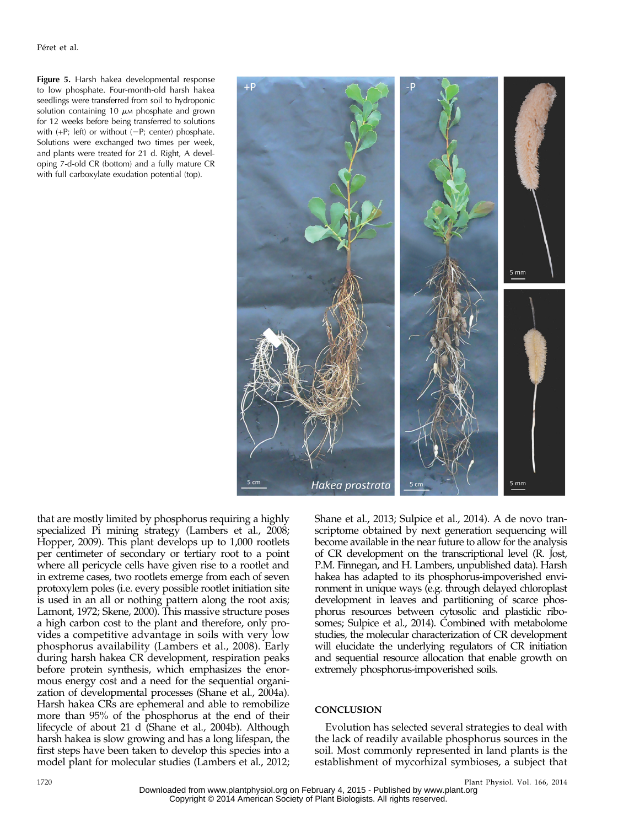Péret et al.

Figure 5. Harsh hakea developmental response to low phosphate. Four-month-old harsh hakea seedlings were transferred from soil to hydroponic solution containing 10  $\mu$ M phosphate and grown for 12 weeks before being transferred to solutions with  $(+P; left)$  or without  $(-P; center)$  phosphate. Solutions were exchanged two times per week, and plants were treated for 21 d. Right, A developing 7-d-old CR (bottom) and a fully mature CR with full carboxylate exudation potential (top).



that are mostly limited by phosphorus requiring a highly specialized Pi mining strategy (Lambers et al., 2008; Hopper, 2009). This plant develops up to 1,000 rootlets per centimeter of secondary or tertiary root to a point where all pericycle cells have given rise to a rootlet and in extreme cases, two rootlets emerge from each of seven protoxylem poles (i.e. every possible rootlet initiation site is used in an all or nothing pattern along the root axis; Lamont, 1972; Skene, 2000). This massive structure poses a high carbon cost to the plant and therefore, only provides a competitive advantage in soils with very low phosphorus availability (Lambers et al., 2008). Early during harsh hakea CR development, respiration peaks before protein synthesis, which emphasizes the enormous energy cost and a need for the sequential organization of developmental processes (Shane et al., 2004a). Harsh hakea CRs are ephemeral and able to remobilize more than 95% of the phosphorus at the end of their lifecycle of about 21 d (Shane et al., 2004b). Although harsh hakea is slow growing and has a long lifespan, the first steps have been taken to develop this species into a model plant for molecular studies (Lambers et al., 2012;

Shane et al., 2013; Sulpice et al., 2014). A de novo transcriptome obtained by next generation sequencing will become available in the near future to allow for the analysis of CR development on the transcriptional level (R. Jost, P.M. Finnegan, and H. Lambers, unpublished data). Harsh hakea has adapted to its phosphorus-impoverished environment in unique ways (e.g. through delayed chloroplast development in leaves and partitioning of scarce phosphorus resources between cytosolic and plastidic ribosomes; Sulpice et al., 2014). Combined with metabolome studies, the molecular characterization of CR development will elucidate the underlying regulators of CR initiation and sequential resource allocation that enable growth on extremely phosphorus-impoverished soils.

#### **CONCLUSION**

Evolution has selected several strategies to deal with the lack of readily available phosphorus sources in the soil. Most commonly represented in land plants is the establishment of mycorhizal symbioses, a subject that

Downloaded from [www.plantphysiol.org](http://www.plantphysiol.org/) on February 4, 2015 - Published by [www.plant.org](http://www.plant.org) Copyright © 2014 American Society of Plant Biologists. All rights reserved.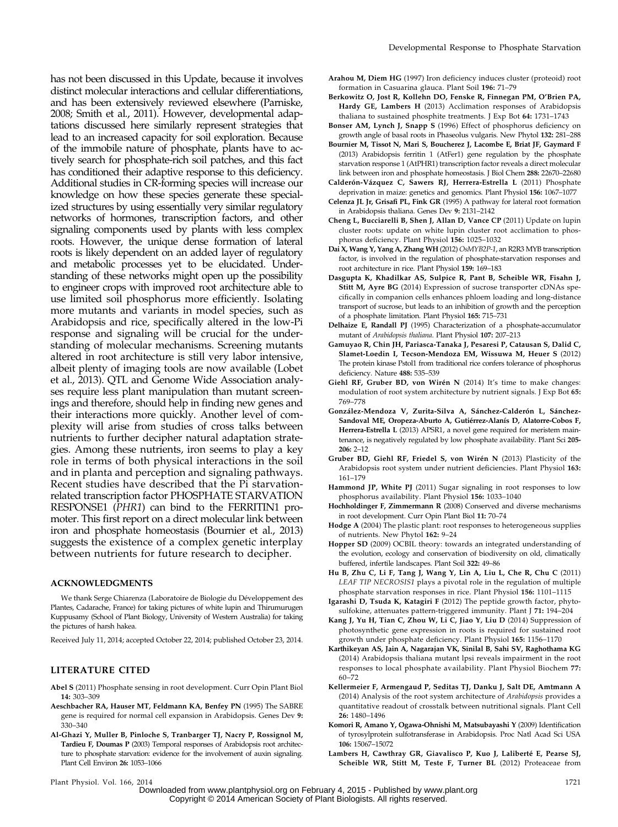has not been discussed in this Update, because it involves distinct molecular interactions and cellular differentiations, and has been extensively reviewed elsewhere (Parniske, 2008; Smith et al., 2011). However, developmental adaptations discussed here similarly represent strategies that lead to an increased capacity for soil exploration. Because of the immobile nature of phosphate, plants have to actively search for phosphate-rich soil patches, and this fact has conditioned their adaptive response to this deficiency. Additional studies in CR-forming species will increase our knowledge on how these species generate these specialized structures by using essentially very similar regulatory networks of hormones, transcription factors, and other signaling components used by plants with less complex roots. However, the unique dense formation of lateral roots is likely dependent on an added layer of regulatory and metabolic processes yet to be elucidated. Understanding of these networks might open up the possibility to engineer crops with improved root architecture able to use limited soil phosphorus more efficiently. Isolating more mutants and variants in model species, such as Arabidopsis and rice, specifically altered in the low-Pi response and signaling will be crucial for the understanding of molecular mechanisms. Screening mutants altered in root architecture is still very labor intensive, albeit plenty of imaging tools are now available (Lobet et al., 2013). QTL and Genome Wide Association analyses require less plant manipulation than mutant screenings and therefore, should help in finding new genes and their interactions more quickly. Another level of complexity will arise from studies of cross talks between nutrients to further decipher natural adaptation strategies. Among these nutrients, iron seems to play a key role in terms of both physical interactions in the soil and in planta and perception and signaling pathways. Recent studies have described that the Pi starvationrelated transcription factor PHOSPHATE STARVATION RESPONSE1 (PHR1) can bind to the FERRITIN1 promoter. This first report on a direct molecular link between iron and phosphate homeostasis (Bournier et al., 2013) suggests the existence of a complex genetic interplay between nutrients for future research to decipher.

#### ACKNOWLEDGMENTS

We thank Serge Chiarenza (Laboratoire de Biologie du Développement des Plantes, Cadarache, France) for taking pictures of white lupin and Thirumurugen Kuppusamy (School of Plant Biology, University of Western Australia) for taking the pictures of harsh hakea.

Received July 11, 2014; accepted October 22, 2014; published October 23, 2014.

#### LITERATURE CITED

- Abel S (2011) Phosphate sensing in root development. Curr Opin Plant Biol 14: 303–309
- Aeschbacher RA, Hauser MT, Feldmann KA, Benfey PN (1995) The SABRE gene is required for normal cell expansion in Arabidopsis. Genes Dev 9: 330–340
- Al-Ghazi Y, Muller B, Pinloche S, Tranbarger TJ, Nacry P, Rossignol M, Tardieu F, Doumas P (2003) Temporal responses of Arabidopsis root architecture to phosphate starvation: evidence for the involvement of auxin signaling. Plant Cell Environ 26: 1053–1066
- Arahou M, Diem HG (1997) Iron deficiency induces cluster (proteoid) root formation in Casuarina glauca. Plant Soil 196: 71–79
- Berkowitz O, Jost R, Kollehn DO, Fenske R, Finnegan PM, O'Brien PA, Hardy GE, Lambers H (2013) Acclimation responses of Arabidopsis thaliana to sustained phosphite treatments. J Exp Bot 64: 1731–1743
- Bonser AM, Lynch J, Snapp S (1996) Effect of phosphorus deficiency on growth angle of basal roots in Phaseolus vulgaris. New Phytol 132: 281–288
- Bournier M, Tissot N, Mari S, Boucherez J, Lacombe E, Briat JF, Gaymard F (2013) Arabidopsis ferritin 1 (AtFer1) gene regulation by the phosphate starvation response 1 (AtPHR1) transcription factor reveals a direct molecular link between iron and phosphate homeostasis. J Biol Chem 288: 22670–22680
- Calderón-Vázquez C, Sawers RJ, Herrera-Estrella L (2011) Phosphate deprivation in maize: genetics and genomics. Plant Physiol 156: 1067–1077 Celenza JL Jr, Grisafi PL, Fink GR (1995) A pathway for lateral root formation
- in Arabidopsis thaliana. Genes Dev 9: 2131–2142 Cheng L, Bucciarelli B, Shen J, Allan D, Vance CP (2011) Update on lupin cluster roots: update on white lupin cluster root acclimation to phosphorus deficiency. Plant Physiol 156: 1025–1032
- Dai X, Wang Y, Yang A, Zhang WH (2012) OsMYB2P-1, an R2R3 MYB transcription factor, is involved in the regulation of phosphate-starvation responses and root architecture in rice. Plant Physiol 159: 169–183
- Dasgupta K, Khadilkar AS, Sulpice R, Pant B, Scheible WR, Fisahn J, Stitt M, Ayre BG (2014) Expression of sucrose transporter cDNAs specifically in companion cells enhances phloem loading and long-distance transport of sucrose, but leads to an inhibition of growth and the perception of a phosphate limitation. Plant Physiol 165: 715–731
- Delhaize E, Randall PJ (1995) Characterization of a phosphate-accumulator mutant of Arabidopsis thaliana. Plant Physiol 107: 207–213
- Gamuyao R, Chin JH, Pariasca-Tanaka J, Pesaresi P, Catausan S, Dalid C, Slamet-Loedin I, Tecson-Mendoza EM, Wissuwa M, Heuer S (2012) The protein kinase Pstol1 from traditional rice confers tolerance of phosphorus deficiency. Nature 488: 535–539
- Giehl RF, Gruber BD, von Wirén N (2014) It's time to make changes: modulation of root system architecture by nutrient signals. J Exp Bot 65: 769–778
- González-Mendoza V, Zurita-Silva A, Sánchez-Calderón L, Sánchez-Sandoval ME, Oropeza-Aburto A, Gutiérrez-Alanís D, Alatorre-Cobos F, Herrera-Estrella L (2013) APSR1, a novel gene required for meristem maintenance, is negatively regulated by low phosphate availability. Plant Sci 205- 206: 2–12
- Gruber BD, Giehl RF, Friedel S, von Wirén N (2013) Plasticity of the Arabidopsis root system under nutrient deficiencies. Plant Physiol 163: 161–179
- Hammond JP, White PJ (2011) Sugar signaling in root responses to low phosphorus availability. Plant Physiol 156: 1033–1040
- Hochholdinger F, Zimmermann R (2008) Conserved and diverse mechanisms in root development. Curr Opin Plant Biol 11: 70–74
- Hodge A (2004) The plastic plant: root responses to heterogeneous supplies of nutrients. New Phytol 162: 9–24
- Hopper SD (2009) OCBIL theory: towards an integrated understanding of the evolution, ecology and conservation of biodiversity on old, climatically buffered, infertile landscapes. Plant Soil 322: 49–86
- Hu B, Zhu C, Li F, Tang J, Wang Y, Lin A, Liu L, Che R, Chu C (2011) LEAF TIP NECROSIS1 plays a pivotal role in the regulation of multiple phosphate starvation responses in rice. Plant Physiol 156: 1101–1115
- Igarashi D, Tsuda K, Katagiri F (2012) The peptide growth factor, phytosulfokine, attenuates pattern-triggered immunity. Plant J 71: 194–204
- Kang J, Yu H, Tian C, Zhou W, Li C, Jiao Y, Liu D (2014) Suppression of photosynthetic gene expression in roots is required for sustained root growth under phosphate deficiency. Plant Physiol 165: 1156–1170
- Karthikeyan AS, Jain A, Nagarajan VK, Sinilal B, Sahi SV, Raghothama KG (2014) Arabidopsis thaliana mutant lpsi reveals impairment in the root responses to local phosphate availability. Plant Physiol Biochem 77: 60–72
- Kellermeier F, Armengaud P, Seditas TJ, Danku J, Salt DE, Amtmann A (2014) Analysis of the root system architecture of Arabidopsis provides a quantitative readout of crosstalk between nutritional signals. Plant Cell 26: 1480–1496
- Komori R, Amano Y, Ogawa-Ohnishi M, Matsubayashi Y (2009) Identification of tyrosylprotein sulfotransferase in Arabidopsis. Proc Natl Acad Sci USA 106: 15067–15072
- Lambers H, Cawthray GR, Giavalisco P, Kuo J, Laliberté E, Pearse SJ, Scheible WR, Stitt M, Teste F, Turner BL (2012) Proteaceae from

Plant Physiol. Vol. 166, 2014 1721

Downloaded from [www.plantphysiol.org](http://www.plantphysiol.org/) on February 4, 2015 - Published by [www.plant.org](http://www.plant.org) Copyright © 2014 American Society of Plant Biologists. All rights reserved.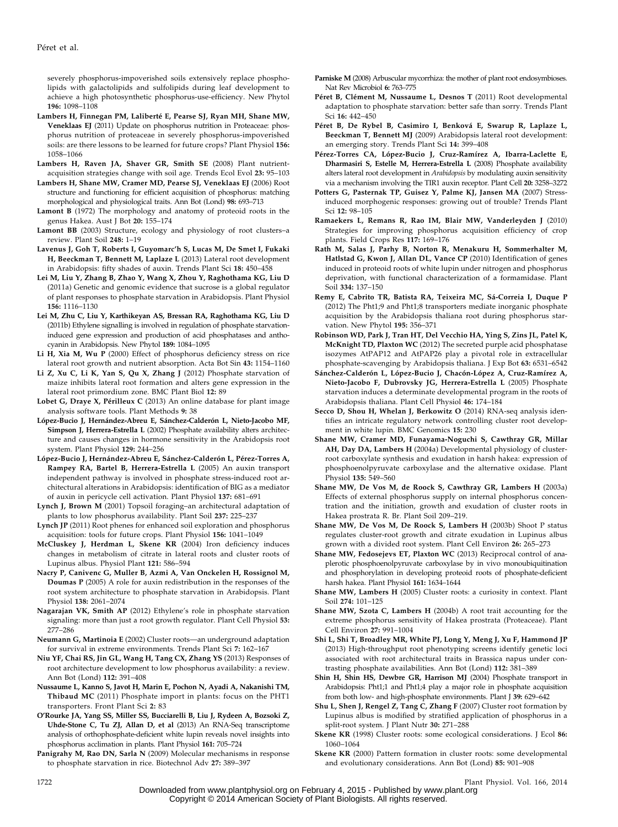severely phosphorus-impoverished soils extensively replace phospholipids with galactolipids and sulfolipids during leaf development to achieve a high photosynthetic phosphorus-use-efficiency. New Phytol 196: 1098–1108

- Lambers H, Finnegan PM, Laliberté E, Pearse SJ, Ryan MH, Shane MW, Veneklaas EJ (2011) Update on phosphorus nutrition in Proteaceae: phosphorus nutrition of proteaceae in severely phosphorus-impoverished soils: are there lessons to be learned for future crops? Plant Physiol 156: 1058–1066
- Lambers H, Raven JA, Shaver GR, Smith SE (2008) Plant nutrientacquisition strategies change with soil age. Trends Ecol Evol 23: 95–103
- Lambers H, Shane MW, Cramer MD, Pearse SJ, Veneklaas EJ (2006) Root structure and functioning for efficient acquisition of phosphorus: matching morphological and physiological traits. Ann Bot (Lond) 98: 693–713
- Lamont B (1972) The morphology and anatomy of proteoid roots in the genus Hakea. Aust J Bot 20: 155–174
- Lamont BB (2003) Structure, ecology and physiology of root clusters–a review. Plant Soil 248: 1–19
- Lavenus J, Goh T, Roberts I, Guyomarc'h S, Lucas M, De Smet I, Fukaki H, Beeckman T, Bennett M, Laplaze L (2013) Lateral root development in Arabidopsis: fifty shades of auxin. Trends Plant Sci 18: 450–458
- Lei M, Liu Y, Zhang B, Zhao Y, Wang X, Zhou Y, Raghothama KG, Liu D (2011a) Genetic and genomic evidence that sucrose is a global regulator of plant responses to phosphate starvation in Arabidopsis. Plant Physiol 156: 1116–1130
- Lei M, Zhu C, Liu Y, Karthikeyan AS, Bressan RA, Raghothama KG, Liu D (2011b) Ethylene signalling is involved in regulation of phosphate starvationinduced gene expression and production of acid phosphatases and anthocyanin in Arabidopsis. New Phytol 189: 1084–1095
- Li H, Xia M, Wu P (2000) Effect of phosphorus deficiency stress on rice lateral root growth and nutrient absorption. Acta Bot Sin 43: 1154–1160
- Li Z, Xu C, Li K, Yan S, Qu X, Zhang J (2012) Phosphate starvation of maize inhibits lateral root formation and alters gene expression in the lateral root primordium zone. BMC Plant Biol 12: 89
- Lobet G, Draye X, Périlleux C (2013) An online database for plant image analysis software tools. Plant Methods 9: 38
- López-Bucio J, Hernández-Abreu E, Sánchez-Calderón L, Nieto-Jacobo MF, Simpson J, Herrera-Estrella L (2002) Phosphate availability alters architecture and causes changes in hormone sensitivity in the Arabidopsis root system. Plant Physiol 129: 244–256
- López-Bucio J, Hernández-Abreu E, Sánchez-Calderón L, Pérez-Torres A, Rampey RA, Bartel B, Herrera-Estrella L (2005) An auxin transport independent pathway is involved in phosphate stress-induced root architectural alterations in Arabidopsis: identification of BIG as a mediator of auxin in pericycle cell activation. Plant Physiol 137: 681–691
- Lynch J, Brown M (2001) Topsoil foraging–an architectural adaptation of plants to low phosphorus availability. Plant Soil 237: 225–237
- Lynch JP (2011) Root phenes for enhanced soil exploration and phosphorus acquisition: tools for future crops. Plant Physiol 156: 1041–1049
- McCluskey J, Herdman L, Skene KR (2004) Iron deficiency induces changes in metabolism of citrate in lateral roots and cluster roots of Lupinus albus. Physiol Plant 121: 586–594
- Nacry P, Canivenc G, Muller B, Azmi A, Van Onckelen H, Rossignol M, Doumas P (2005) A role for auxin redistribution in the responses of the root system architecture to phosphate starvation in Arabidopsis. Plant Physiol 138: 2061–2074
- Nagarajan VK, Smith AP (2012) Ethylene's role in phosphate starvation signaling: more than just a root growth regulator. Plant Cell Physiol 53: 277–286
- Neumann G, Martinoia E (2002) Cluster roots—an underground adaptation for survival in extreme environments. Trends Plant Sci 7: 162–167
- Niu YF, Chai RS, Jin GL, Wang H, Tang CX, Zhang YS (2013) Responses of root architecture development to low phosphorus availability: a review. Ann Bot (Lond) 112: 391–408
- Nussaume L, Kanno S, Javot H, Marin E, Pochon N, Ayadi A, Nakanishi TM, Thibaud MC (2011) Phosphate import in plants: focus on the PHT1 transporters. Front Plant Sci 2: 83
- O'Rourke JA, Yang SS, Miller SS, Bucciarelli B, Liu J, Rydeen A, Bozsoki Z, Uhde-Stone C, Tu ZJ, Allan D, et al (2013) An RNA-Seq transcriptome analysis of orthophosphate-deficient white lupin reveals novel insights into phosphorus acclimation in plants. Plant Physiol 161: 705–724
- Panigrahy M, Rao DN, Sarla N (2009) Molecular mechanisms in response to phosphate starvation in rice. Biotechnol Adv 27: 389–397
- Parniske M (2008) Arbuscular mycorrhiza: the mother of plant root endosymbioses. Nat Rev Microbiol 6: 763–775
- Péret B, Clément M, Nussaume L, Desnos T (2011) Root developmental adaptation to phosphate starvation: better safe than sorry. Trends Plant Sci 16: 442–450
- Péret B, De Rybel B, Casimiro I, Benková E, Swarup R, Laplaze L, Beeckman T, Bennett MJ (2009) Arabidopsis lateral root development: an emerging story. Trends Plant Sci 14: 399–408
- Pérez-Torres CA, López-Bucio J, Cruz-Ramírez A, Ibarra-Laclette E, Dharmasiri S, Estelle M, Herrera-Estrella L (2008) Phosphate availability alters lateral root development in Arabidopsis by modulating auxin sensitivity via a mechanism involving the TIR1 auxin receptor. Plant Cell 20: 3258–3272
- Potters G, Pasternak TP, Guisez Y, Palme KJ, Jansen MA (2007) Stressinduced morphogenic responses: growing out of trouble? Trends Plant Sci 12: 98–105
- Ramaekers L, Remans R, Rao IM, Blair MW, Vanderleyden J (2010) Strategies for improving phosphorus acquisition efficiency of crop plants. Field Crops Res 117: 169–176
- Rath M, Salas J, Parhy B, Norton R, Menakuru H, Sommerhalter M, Hatlstad G, Kwon J, Allan DL, Vance CP (2010) Identification of genes induced in proteoid roots of white lupin under nitrogen and phosphorus deprivation, with functional characterization of a formamidase. Plant Soil 334: 137–150
- Remy E, Cabrito TR, Batista RA, Teixeira MC, Sá-Correia I, Duque P (2012) The Pht1;9 and Pht1;8 transporters mediate inorganic phosphate acquisition by the Arabidopsis thaliana root during phosphorus starvation. New Phytol 195: 356–371
- Robinson WD, Park J, Tran HT, Del Vecchio HA, Ying S, Zins JL, Patel K, McKnight TD, Plaxton WC (2012) The secreted purple acid phosphatase isozymes AtPAP12 and AtPAP26 play a pivotal role in extracellular phosphate-scavenging by Arabidopsis thaliana. J Exp Bot 63: 6531–6542
- Sánchez-Calderón L, López-Bucio J, Chacón-López A, Cruz-Ramírez A, Nieto-Jacobo F, Dubrovsky JG, Herrera-Estrella L (2005) Phosphate starvation induces a determinate developmental program in the roots of Arabidopsis thaliana. Plant Cell Physiol 46: 174–184
- Secco D, Shou H, Whelan J, Berkowitz O (2014) RNA-seq analysis identifies an intricate regulatory network controlling cluster root development in white lupin. BMC Genomics 15: 230
- Shane MW, Cramer MD, Funayama-Noguchi S, Cawthray GR, Millar AH, Day DA, Lambers H (2004a) Developmental physiology of clusterroot carboxylate synthesis and exudation in harsh hakea: expression of phosphoenolpyruvate carboxylase and the alternative oxidase. Plant Physiol 135: 549–560
- Shane MW, De Vos M, de Roock S, Cawthray GR, Lambers H (2003a) Effects of external phosphorus supply on internal phosphorus concentration and the initiation, growth and exudation of cluster roots in Hakea prostrata R. Br. Plant Soil 209–219.
- Shane MW, De Vos M, De Roock S, Lambers H (2003b) Shoot P status regulates cluster-root growth and citrate exudation in Lupinus albus grown with a divided root system. Plant Cell Environ 26: 265–273
- Shane MW, Fedosejevs ET, Plaxton WC (2013) Reciprocal control of anaplerotic phosphoenolpyruvate carboxylase by in vivo monoubiquitination and phosphorylation in developing proteoid roots of phosphate-deficient harsh hakea. Plant Physiol 161: 1634–1644
- Shane MW, Lambers H (2005) Cluster roots: a curiosity in context. Plant Soil 274: 101–125
- Shane MW, Szota C, Lambers H (2004b) A root trait accounting for the extreme phosphorus sensitivity of Hakea prostrata (Proteaceae). Plant Cell Environ 27: 991–1004
- Shi L, Shi T, Broadley MR, White PJ, Long Y, Meng J, Xu F, Hammond JP (2013) High-throughput root phenotyping screens identify genetic loci associated with root architectural traits in Brassica napus under contrasting phosphate availabilities. Ann Bot (Lond) 112: 381–389
- Shin H, Shin HS, Dewbre GR, Harrison MJ (2004) Phosphate transport in Arabidopsis: Pht1;1 and Pht1;4 play a major role in phosphate acquisition from both low- and high-phosphate environments. Plant J 39: 629–642
- Shu L, Shen J, Rengel Z, Tang C, Zhang F (2007) Cluster root formation by Lupinus albus is modified by stratified application of phosphorus in a split-root system. J Plant Nutr 30: 271–288
- Skene KR (1998) Cluster roots: some ecological considerations. J Ecol 86: 1060–1064
- Skene KR (2000) Pattern formation in cluster roots: some developmental and evolutionary considerations. Ann Bot (Lond) 85: 901–908

1722 Plant Physiol. Vol. 166, 2014

Downloaded from [www.plantphysiol.org](http://www.plantphysiol.org/) on February 4, 2015 - Published by [www.plant.org](http://www.plant.org) Copyright © 2014 American Society of Plant Biologists. All rights reserved.